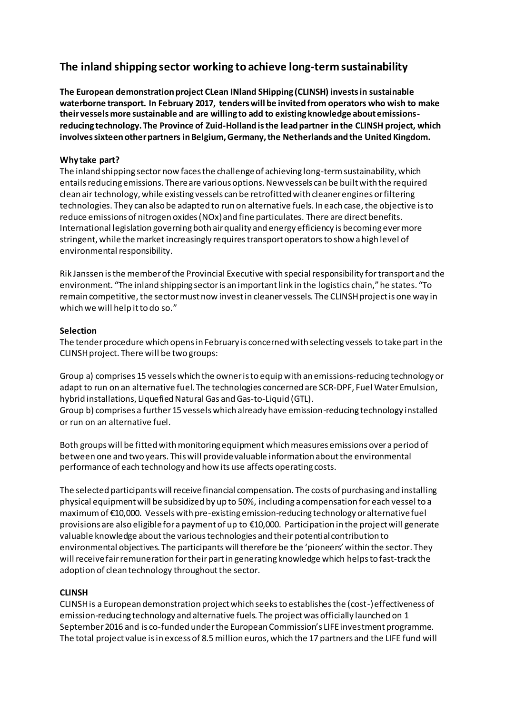## **The inland shipping sector working to achieve long-term sustainability**

**The European demonstration project CLean INland SHipping (CLINSH) investsin sustainable waterborne transport. In February 2017, tenders will be invited from operators who wish to make their vessels more sustainable and are willing to add to existing knowledge about emissionsreducing technology. The Province of Zuid-Holland is the lead partner in the CLINSH project, which involves sixteen other partners in Belgium, Germany, the Netherlands and the United Kingdom.** 

## **Why take part?**

The inland shipping sector now faces the challenge of achieving long-term sustainability, which entails reducing emissions. There are various options. New vessels can be built with the required clean air technology, while existing vessels can be retrofitted with cleaner engines or filtering technologies. They can also be adapted to run on alternative fuels. In each case, the objective is to reduce emissions of nitrogen oxides (NOx) and fine particulates. There are direct benefits. International legislation governing both air quality and energy efficiency is becoming ever more stringent, while the market increasingly requires transport operators to show a high level of environmental responsibility.

Rik Janssen is the member of the Provincial Executive with special responsibility for transport and the environment. "The inland shipping sector is an important link in the logistics chain," he states. "To remain competitive, the sector must now invest in cleaner vessels. The CLINSH project is one way in which we will help it to do so."

## **Selection**

The tender procedure which opens in February is concerned with selecting vessels to take part in the CLINSHproject. There will be two groups:

Group a) comprises 15 vessels which the owner is to equip with an emissions-reducing technology or adapt to run on an alternative fuel. The technologies concerned are SCR-DPF, Fuel Water Emulsion, hybrid installations, Liquefied Natural Gas and Gas-to-Liquid (GTL).

Group b) comprises a further 15 vessels which already have emission-reducing technology installed or run on an alternative fuel.

Both groups will be fitted with monitoring equipment which measures emissions over a period of between one and two years. This will provide valuable information about the environmental performance of each technology and how its use affects operating costs.

The selected participants will receive financial compensation. The costs of purchasing and installing physical equipment will be subsidized by up to 50%, including a compensation for each vessel to a maximum of €10,000. Vessels with pre-existing emission-reducing technology or alternative fuel provisions are also eligible for a payment of up to €10,000. Participation in the project will generate valuable knowledge about the various technologies and their potential contribution to environmental objectives. The participants will therefore be the 'pioneers' within the sector. They will receive fair remuneration for their part in generating knowledge which helps to fast-track the adoption of clean technology throughout the sector.

## **CLINSH**

CLINSH is a European demonstration project which seeks to establishes the (cost-) effectiveness of emission-reducing technology and alternative fuels. The project was officially launched on 1 September 2016 and is co-funded under the European Commission's LIFE investment programme. The total project value is in excess of 8.5 million euros, which the 17 partners and the LIFE fund will